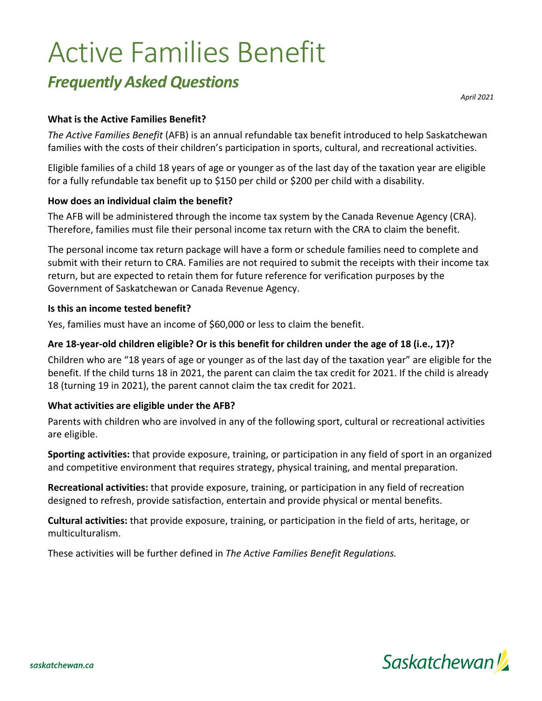# Active Families Benefit

# *Frequently Asked Questions*

*April 2021*

#### **What is the Active Families Benefit?**

*The Active Families Benefit* (AFB) is an annual refundable tax benefit introduced to help Saskatchewan families with the costs of their children's participation in sports, cultural, and recreational activities.

Eligible families of a child 18 years of age or younger as of the last day of the taxation year are eligible for a fully refundable tax benefit up to \$150 per child or \$200 per child with a disability.

#### **How does an individual claim the benefit?**

The AFB will be administered through the income tax system by the Canada Revenue Agency (CRA). Therefore, families must file their personal income tax return with the CRA to claim the benefit.

The personal income tax return package will have a form or schedule families need to complete and submit with their return to CRA. Families are not required to submit the receipts with their income tax return, but are expected to retain them for future reference for verification purposes by the Government of Saskatchewan or Canada Revenue Agency.

#### **Is this an income tested benefit?**

Yes, families must have an income of \$60,000 or less to claim the benefit.

#### **Are 18-year-old children eligible? Or is this benefit for children under the age of 18 (i.e., 17)?**

Children who are "18 years of age or younger as of the last day of the taxation year" are eligible for the benefit. If the child turns 18 in 2021, the parent can claim the tax credit for 2021. If the child is already 18 (turning 19 in 2021), the parent cannot claim the tax credit for 2021.

#### **What activities are eligible under the AFB?**

Parents with children who are involved in any of the following sport, cultural or recreational activities are eligible.

**Sporting activities:** that provide exposure, training, or participation in any field of sport in an organized and competitive environment that requires strategy, physical training, and mental preparation.

**Recreational activities:** that provide exposure, training, or participation in any field of recreation designed to refresh, provide satisfaction, entertain and provide physical or mental benefits.

**Cultural activities:** that provide exposure, training, or participation in the field of arts, heritage, or multiculturalism.

These activities will be further defined in *The Active Families Benefit Regulations.*

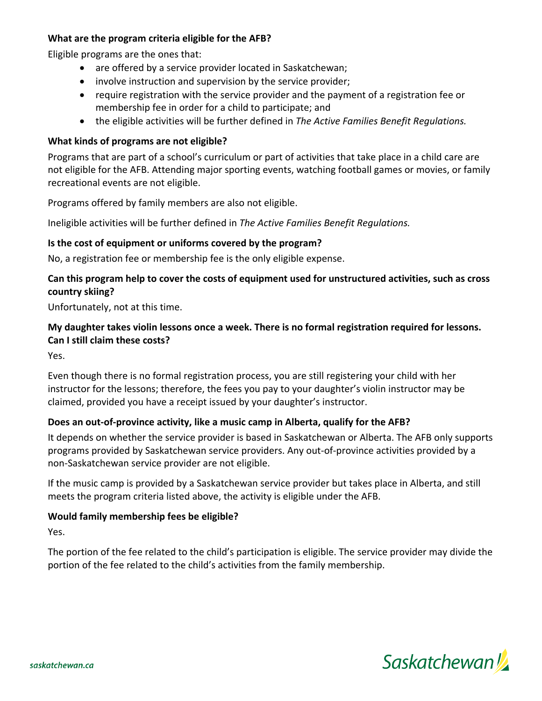#### **What are the program criteria eligible for the AFB?**

Eligible programs are the ones that:

- are offered by a service provider located in Saskatchewan;
- involve instruction and supervision by the service provider;
- require registration with the service provider and the payment of a registration fee or membership fee in order for a child to participate; and
- the eligible activities will be further defined in *The Active Families Benefit Regulations.*

# **What kinds of programs are not eligible?**

Programs that are part of a school's curriculum or part of activities that take place in a child care are not eligible for the AFB. Attending major sporting events, watching football games or movies, or family recreational events are not eligible.

Programs offered by family members are also not eligible.

Ineligible activities will be further defined in *The Active Families Benefit Regulations.*

# **Is the cost of equipment or uniforms covered by the program?**

No, a registration fee or membership fee is the only eligible expense.

## **Can this program help to cover the costs of equipment used for unstructured activities, such as cross country skiing?**

Unfortunately, not at this time.

# **My daughter takes violin lessons once a week. There is no formal registration required for lessons. Can I still claim these costs?**

Yes.

Even though there is no formal registration process, you are still registering your child with her instructor for the lessons; therefore, the fees you pay to your daughter's violin instructor may be claimed, provided you have a receipt issued by your daughter's instructor.

#### **Does an out-of-province activity, like a music camp in Alberta, qualify for the AFB?**

It depends on whether the service provider is based in Saskatchewan or Alberta. The AFB only supports programs provided by Saskatchewan service providers. Any out-of-province activities provided by a non-Saskatchewan service provider are not eligible.

If the music camp is provided by a Saskatchewan service provider but takes place in Alberta, and still meets the program criteria listed above, the activity is eligible under the AFB.

#### **Would family membership fees be eligible?**

Yes.

The portion of the fee related to the child's participation is eligible. The service provider may divide the portion of the fee related to the child's activities from the family membership.